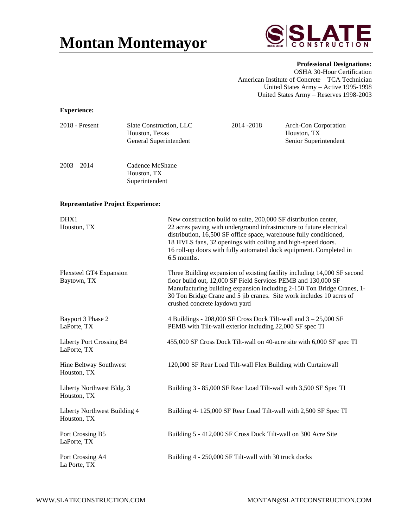# **Montan Montemayor**



**Professional Designations:** OSHA 30-Hour Certification American Institute of Concrete – TCA Technician United States Army – Active 1995-1998 United States Army – Reserves 1998-2003

## **Experience:**

| $2018$ - Present | Slate Construction, LLC<br>Houston, Texas<br>General Superintendent | 2014 - 2018 | Arch-Con Corporation<br>Houston, TX<br>Senior Superintendent |
|------------------|---------------------------------------------------------------------|-------------|--------------------------------------------------------------|
|                  |                                                                     |             |                                                              |

### 2003 – 2014 Cadence McShane Houston, TX Superintendent

### **Representative Project Experience:**

| DHX1<br>Houston, TX                         | New construction build to suite, 200,000 SF distribution center,<br>22 acres paving with underground infrastructure to future electrical<br>distribution, 16,500 SF office space, warehouse fully conditioned,<br>18 HVLS fans, 32 openings with coiling and high-speed doors.<br>16 roll-up doors with fully automated dock equipment. Completed in<br>6.5 months. |
|---------------------------------------------|---------------------------------------------------------------------------------------------------------------------------------------------------------------------------------------------------------------------------------------------------------------------------------------------------------------------------------------------------------------------|
| Flexsteel GT4 Expansion<br>Baytown, TX      | Three Building expansion of existing facility including 14,000 SF second<br>floor build out, 12,000 SF Field Services PEMB and 130,000 SF<br>Manufacturing building expansion including 2-150 Ton Bridge Cranes, 1-<br>30 Ton Bridge Crane and 5 jib cranes. Site work includes 10 acres of<br>crushed concrete laydown yard                                        |
| Bayport 3 Phase 2<br>LaPorte, TX            | 4 Buildings - $208,000$ SF Cross Dock Tilt-wall and $3 - 25,000$ SF<br>PEMB with Tilt-wall exterior including 22,000 SF spec TI                                                                                                                                                                                                                                     |
| Liberty Port Crossing B4<br>LaPorte, TX     | 455,000 SF Cross Dock Tilt-wall on 40-acre site with 6,000 SF spec TI                                                                                                                                                                                                                                                                                               |
| Hine Beltway Southwest<br>Houston, TX       | 120,000 SF Rear Load Tilt-wall Flex Building with Curtainwall                                                                                                                                                                                                                                                                                                       |
| Liberty Northwest Bldg. 3<br>Houston, TX    | Building 3 - 85,000 SF Rear Load Tilt-wall with 3,500 SF Spec TI                                                                                                                                                                                                                                                                                                    |
| Liberty Northwest Building 4<br>Houston, TX | Building 4-125,000 SF Rear Load Tilt-wall with 2,500 SF Spec TI                                                                                                                                                                                                                                                                                                     |
| Port Crossing B5<br>LaPorte, TX             | Building 5 - 412,000 SF Cross Dock Tilt-wall on 300 Acre Site                                                                                                                                                                                                                                                                                                       |
| Port Crossing A4<br>La Porte, TX            | Building 4 - 250,000 SF Tilt-wall with 30 truck docks                                                                                                                                                                                                                                                                                                               |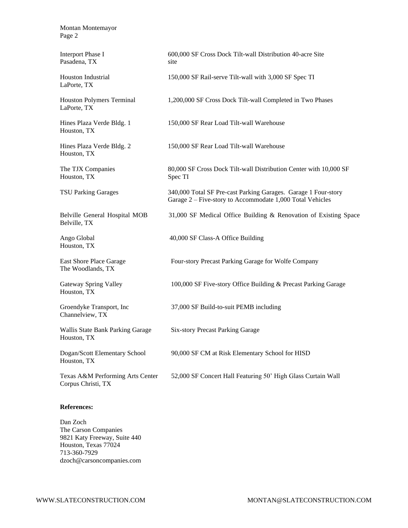Montan Montemayor Page 2

Pasadena, TX site

LaPorte, TX

LaPorte, TX

Houston, TX

Houston, TX

Houston, TX Spec TI

Belville, TX

Houston, TX

The Woodlands, TX

Houston, TX

Channelview, TX

Houston, TX

Houston, TX

Corpus Christi, TX

#### **References:**

Dan Zoch The Carson Companies 9821 Katy Freeway, Suite 440 Houston, Texas 77024 713-360-7929 dzoch@carsoncompanies.com

Interport Phase I 600,000 SF Cross Dock Tilt-wall Distribution 40-acre Site

Houston Industrial 150,000 SF Rail-serve Tilt-wall with 3,000 SF Spec TI

Houston Polymers Terminal 1,200,000 SF Cross Dock Tilt-wall Completed in Two Phases

Hines Plaza Verde Bldg. 1 150,000 SF Rear Load Tilt-wall Warehouse

Hines Plaza Verde Bldg. 2 150,000 SF Rear Load Tilt-wall Warehouse

The TJX Companies 80,000 SF Cross Dock Tilt-wall Distribution Center with 10,000 SF

TSU Parking Garages 340,000 Total SF Pre-cast Parking Garages. Garage 1 Four-story Garage 2 – Five-story to Accommodate 1,000 Total Vehicles

Belville General Hospital MOB 31,000 SF Medical Office Building & Renovation of Existing Space

Ango Global 40,000 SF Class-A Office Building

East Shore Place Garage Four-story Precast Parking Garage for Wolfe Company

Gateway Spring Valley 100,000 SF Five-story Office Building & Precast Parking Garage

Groendyke Transport, Inc 37,000 SF Build-to-suit PEMB including

Wallis State Bank Parking Garage Six-story Precast Parking Garage

Dogan/Scott Elementary School 90,000 SF CM at Risk Elementary School for HISD

Texas A&M Performing Arts Center 52,000 SF Concert Hall Featuring 50' High Glass Curtain Wall